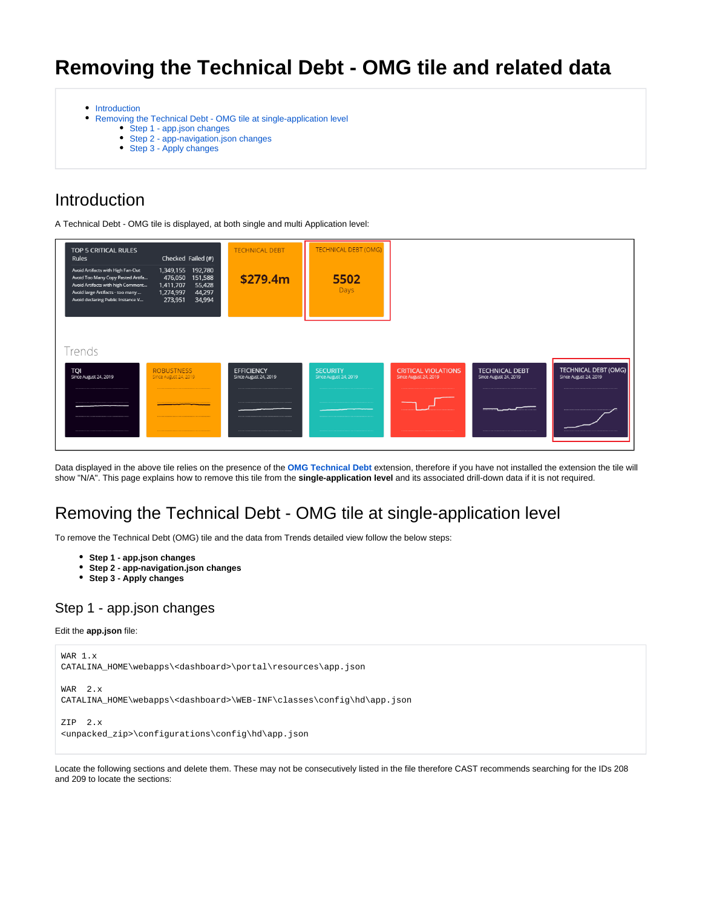# **Removing the Technical Debt - OMG tile and related data**

- [Introduction](#page-0-0)
- [Removing the Technical Debt OMG tile at single-application level](#page-0-1)
	- [Step 1 app.json changes](#page-0-2)
	- [Step 2 app-navigation.json changes](#page-1-0)
	- [Step 3 Apply changes](#page-3-0)

## <span id="page-0-0"></span>Introduction

A Technical Debt - OMG tile is displayed, at both single and multi Application level:



Data displayed in the above tile relies on the presence of the **[OMG Technical Debt](https://doc.castsoftware.com/display/TECHNOS/OMG+Technical+Debt)** extension, therefore if you have not installed the extension the tile will show "N/A". This page explains how to remove this tile from the **single-application level** and its associated drill-down data if it is not required.

## <span id="page-0-1"></span>Removing the Technical Debt - OMG tile at single-application level

To remove the Technical Debt (OMG) tile and the data from Trends detailed view follow the below steps:

- **Step 1 app.json changes**
- **Step 2 app-navigation.json changes**
- **Step 3 Apply changes**

### <span id="page-0-2"></span>Step 1 - app.json changes

#### Edit the **app.json** file:

```
WAR 1.x
CATALINA_HOME\webapps\<dashboard>\portal\resources\app.json
WAR 2.x
CATALINA_HOME\webapps\<dashboard>\WEB-INF\classes\config\hd\app.json
ZIP 2.x
<unpacked_zip>\configurations\config\hd\app.json
```
Locate the following sections and delete them. These may not be consecutively listed in the file therefore CAST recommends searching for the IDs 208 and 209 to locate the sections: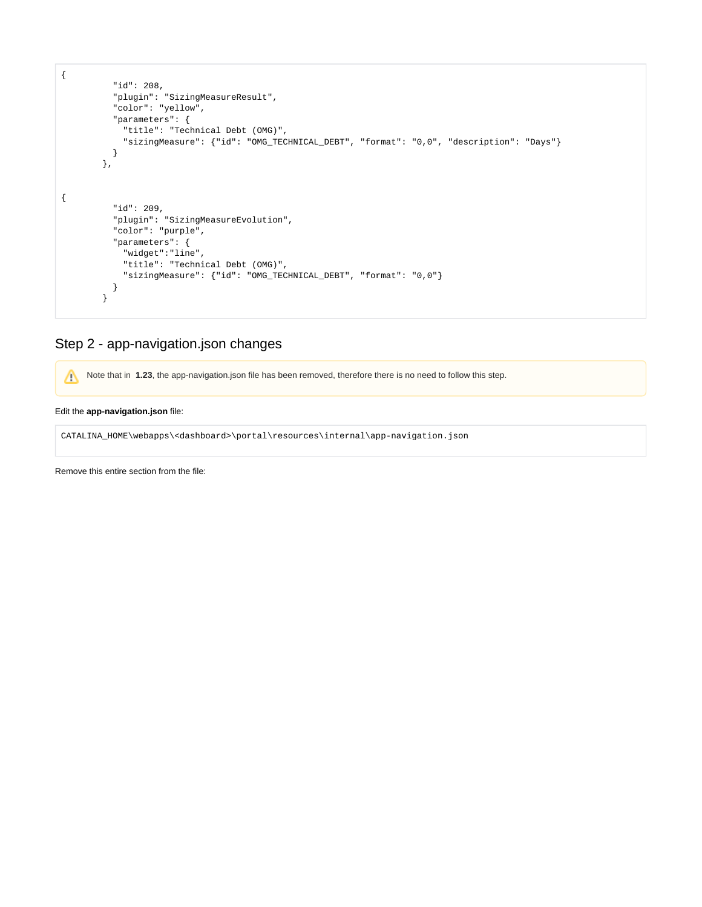```
{
          "id": 208,
 "plugin": "SizingMeasureResult",
 "color": "yellow",
           "parameters": {
             "title": "Technical Debt (OMG)",
            "sizingMeasure": {"id": "OMG_TECHNICAL_DEBT", "format": "0,0", "description": "Days"}
          }
        },
{
          "id": 209,
          "plugin": "SizingMeasureEvolution",
           "color": "purple",
           "parameters": {
            "widget":"line",
            "title": "Technical Debt (OMG)",
            "sizingMeasure": {"id": "OMG_TECHNICAL_DEBT", "format": "0,0"}
          }
         }
```
## <span id="page-1-0"></span>Step 2 - app-navigation.json changes

Note that in 1.23, the app-navigation.json file has been removed, therefore there is no need to follow this step.

#### Edit the **app-navigation.json** file:

CATALINA\_HOME\webapps\<dashboard>\portal\resources\internal\app-navigation.json

Remove this entire section from the file: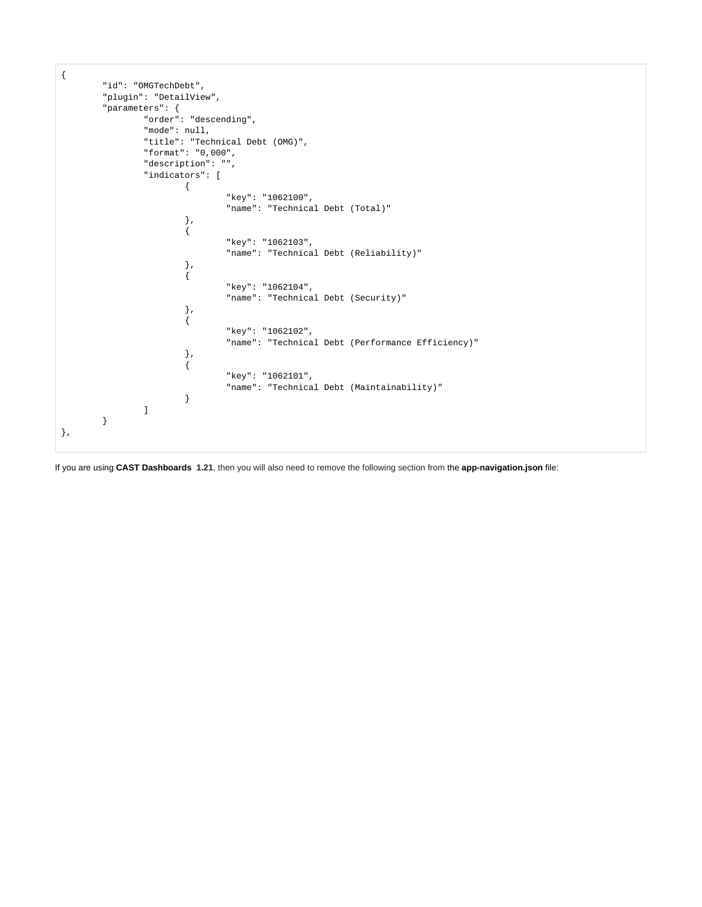```
{
        "id": "OMGTechDebt",
        "plugin": "DetailView",
        "parameters": {
               "order": "descending",
               "mode": null,
               "title": "Technical Debt (OMG)",
               "format": "0,000",
                "description": "",
                "indicators": [
\{ "key": "1062100",
                              "name": "Technical Debt (Total)"
, where \{ \} , we have the set of \{ \} ,
\{ "key": "1062103",
                               "name": "Technical Debt (Reliability)"
, where \{ \} , we have the set of \{ \} ,
\{ "key": "1062104",
                              "name": "Technical Debt (Security)"
, where \{ \} , we have the set of \{ \} ,
\{ "key": "1062102",
                               "name": "Technical Debt (Performance Efficiency)"
, where \{ \} , we have the set of \{ \} ,
\{ "key": "1062101",
                               "name": "Technical Debt (Maintainability)"
 }
              ]
        }
},
```
If you are using **CAST Dashboards 1.21**, then you will also need to remove the following section from the **app-navigation.json** file: